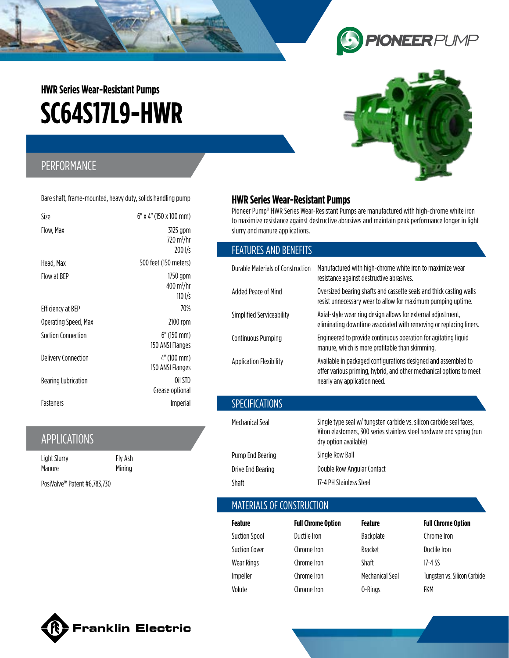# **9 PIONEER** PUMP

# **SC64S17L9-HWR HWR Series Wear-Resistant Pumps**

## PERFORMANCE

Bare shaft, frame-mounted, heavy duty, solids handling pump

| Size                      | 6" x 4" (150 x 100 mm)                                    |
|---------------------------|-----------------------------------------------------------|
| Flow, Max                 | 3125 gpm<br>720 m <sup>3</sup> /hr<br>200 l/s             |
| Head, Max                 | 500 feet (150 meters)                                     |
| Flow at BEP               | 1750 gpm<br>$400 \,\mathrm{m}^3/\mathrm{hr}$<br>$110$ I/s |
| Efficiency at BEP         | 70%                                                       |
| Operating Speed, Max      | 2100 rpm                                                  |
| <b>Suction Connection</b> | $6''$ (150 mm)<br>150 ANSI Flanges                        |
| Delivery Connection       | 4" (100 mm)<br>150 ANSI Flanges                           |
| Bearing Lubrication       | Oil STD<br>Grease optional                                |
| <b>Fasteners</b>          | <i>Imperial</i>                                           |

### APPLICATIONS

| Light Slurry                             | Fly Ash |
|------------------------------------------|---------|
| Manure                                   | Mining  |
| PosiValve <sup>™</sup> Patent #6,783,730 |         |

# **HWR Series Wear-Resistant Pumps**

Pioneer Pump® HWR Series Wear-Resistant Pumps are manufactured with high-chrome white iron to maximize resistance against destructive abrasives and maintain peak performance longer in light slurry and manure applications.

#### FEATURES AND BENEFITS

| Durable Materials of Construction | Manufactured with high-chrome white iron to maximize wear<br>resistance against destructive abrasives.                                                                 |
|-----------------------------------|------------------------------------------------------------------------------------------------------------------------------------------------------------------------|
| Added Peace of Mind               | Oversized bearing shafts and cassette seals and thick casting walls<br>resist unnecessary wear to allow for maximum pumping uptime.                                    |
| Simplified Serviceability         | Axial-style wear ring design allows for external adjustment,<br>eliminating downtime associated with removing or replacing liners.                                     |
| <b>Continuous Pumping</b>         | Engineered to provide continuous operation for agitating liquid<br>manure, which is more profitable than skimming.                                                     |
| <b>Application Flexibility</b>    | Available in packaged configurations designed and assembled to<br>offer various priming, hybrid, and other mechanical options to meet<br>nearly any application need.  |
| <b>SPECIFICATIONS</b>             |                                                                                                                                                                        |
| Mechanical Seal                   | Single type seal w/ tungsten carbide vs. silicon carbide seal faces,<br>Viton elastomers, 300 series stainless steel hardware and spring (run<br>dry option available) |
|                                   | .                                                                                                                                                                      |

Pump End Bearing Single Row Ball Drive End Bearing **Double Row Angular Contact** Shaft 17-4 PH Stainless Steel

#### MATERIALS OF CONSTRUCTION

| Feature              | <b>Full Chrome Option</b> | Feature         | <b>Full Chrome Option</b>    |
|----------------------|---------------------------|-----------------|------------------------------|
| <b>Suction Spool</b> | Ductile Iron              | Backplate       | Chrome Iron                  |
| <b>Suction Cover</b> | Chrome Iron               | <b>Bracket</b>  | Ductile Iron                 |
| Wear Rings           | Chrome Iron               | <b>Shaft</b>    | 17-4 SS                      |
| Impeller             | Chrome Iron               | Mechanical Seal | Tungsten vs. Silicon Carbide |
| Volute               | Chrome Iron               | 0-Rings         | FKM                          |